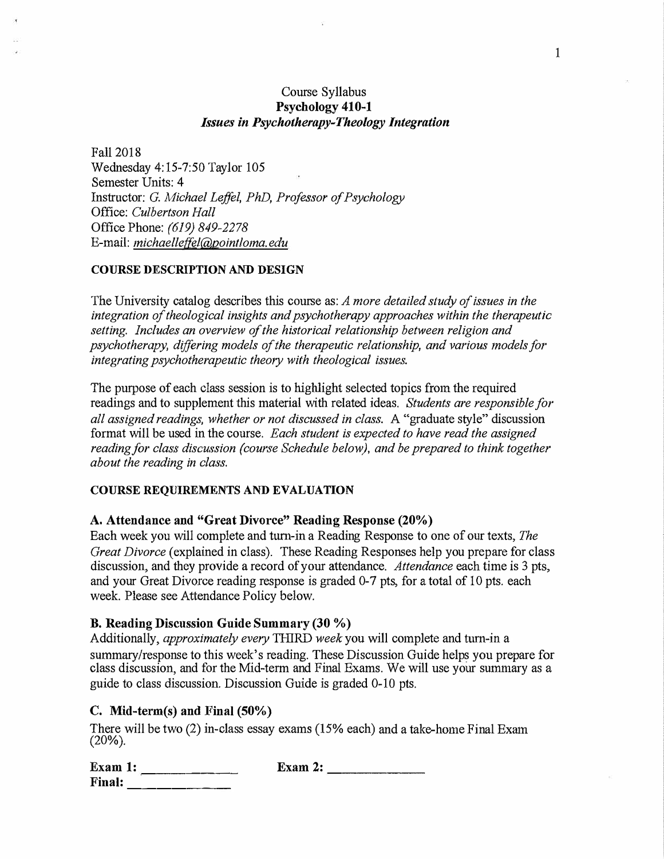# Course Syllabus **Psychology 410-1**  *Issues in Psychotherapy-Theology Integration*

Fall 2018 Wednesday 4: 15-7:50 Taylor 105 Semester Units: 4 Instructor: *G. Michael Leffel, PhD, Professor of Psychology* Office: *Culbertson Hall*  Office Phone: *(619) 849-2278*  E-mail: *michaelleffel@pointloma.edu*

### **COURSE DESCRIPTION AND DESIGN**

The University catalog describes this course as: *A more detailed study of issues in the integration of theological insights and psychotherapy approaches within the therapeutic setting. Includes an overview of the historical relationship between religion and psychotherapy, differing models of the therapeutic relationship, and various models for integrating psychotherapeutic theory with theological issues.* 

The purpose of each class session is to highlight selected topics from the required readings and to supplement this material with related ideas. *Students are responsible for all assigned readings, whether or not discussed in class.* A "graduate style" discussion format will be used in the course. *Each student is expected to have read the assigned reading for class discussion (course Schedule below), and be prepared to think together about the reading in class.*

### **COURSE REQUIREMENTS AND EVALUATION**

### **A. Attendance and "Great Divorce" Reading Response (20%)**

Each week you will complete and turn-in a Reading Response to one of our texts, *The Great Divorce* (explained in class). These Reading Responses help you prepare for class discussion, and they provide a record of your attendance. *Attendance* each time is 3 pts, and your Great Divorce reading response is graded 0-7 pts, for a total of 10 pts. each week. Please see Attendance Policy below.

### **B. Reading Discussion Guide Summary (30 % )**

Additionally, *approximately every* THIRD *week* you will complete and turn-in a summary/response to this week's reading. These Discussion Guide helps you prepare for class discussion, and for the Mid-term and Final Exams. We will use your summary as a guide to class discussion. Discussion Guide is graded 0-10 pts.

### **C. Mid-term(s) and Final (50%)**

There will be two (2 ) in-class essay exams (15% each) and a take-home Final Exam  $(20\%)$ .

**Exam 1: Exam 2: Exam 2: 1: exam 2: exam 2: 1: exam 2: exam 2: exam 2: exam 2: exam 2: exam 2: exam 2: exam 2: exam 2: exam 2: exam 2: exam 2: exam 2: exam 2: exam 2: exam 2: e** 

**Final:** \_\_\_\_\_\_\_\_\_\_\_\_\_\_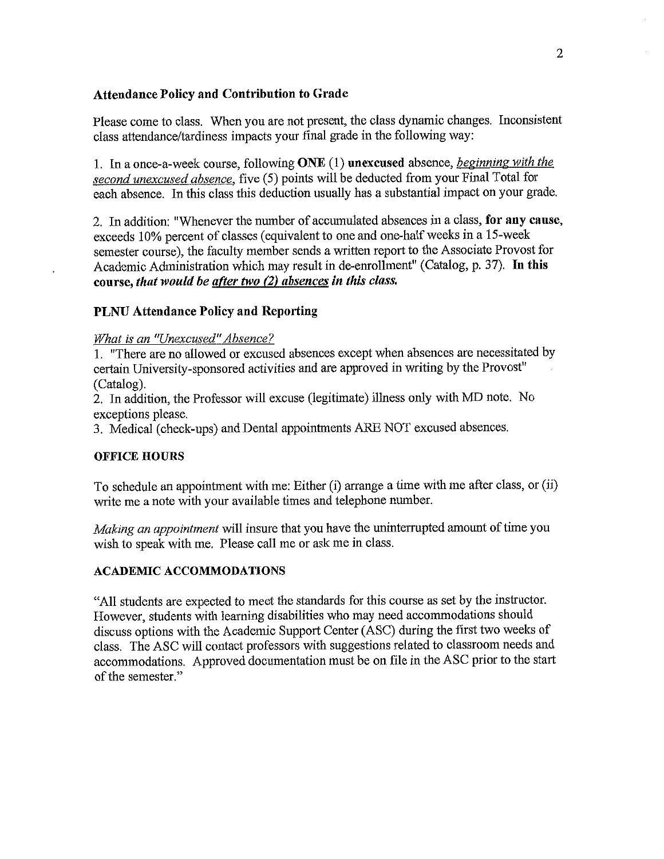# **Attendance Policy and Contribution to Grade**

Please come to class. When you are not present, the class dynamic changes. Inconsistent class attendance/tardiness impacts your final grade in the following way:

1. In a once-a-week course, following ONE (1) unexcused absence, beginning with the second unexcused absence, five (5) points will be deducted from your Final Total for each absence. In this class this deduction usually has a substantial impact on your grade.

2. In addition: "Whenever the number of accumulated absences in a class, for any cause, exceeds 10% percent of classes (equivalent to one and one-half weeks in a 15-week semester course), the faculty member sends a written report to the Associate Provost for Academic Administration which may result in de-enrollment" (Catalog, p. 37). In this course, that would be after two  $(2)$  absences in this class.

### **PLNU Attendance Policy and Reporting**

### What is an "Unexcused" Absence?

1. "There are no allowed or excused absences except when absences are necessitated by certain University-sponsored activities and are approved in writing by the Provost" (Catalog).

2. In addition, the Professor will excuse (legitimate) illness only with MD note. No exceptions please.

3. Medical (check-ups) and Dental appointments ARE NOT excused absences.

### **OFFICE HOURS**

To schedule an appointment with me: Either (i) arrange a time with me after class, or (ii) write me a note with your available times and telephone number.

Making an appointment will insure that you have the uninterrupted amount of time you wish to speak with me. Please call me or ask me in class.

### **ACADEMIC ACCOMMODATIONS**

"All students are expected to meet the standards for this course as set by the instructor. However, students with learning disabilities who may need accommodations should discuss options with the Academic Support Center (ASC) during the first two weeks of class. The ASC will contact professors with suggestions related to classroom needs and accommodations. Approved documentation must be on file in the ASC prior to the start of the semester."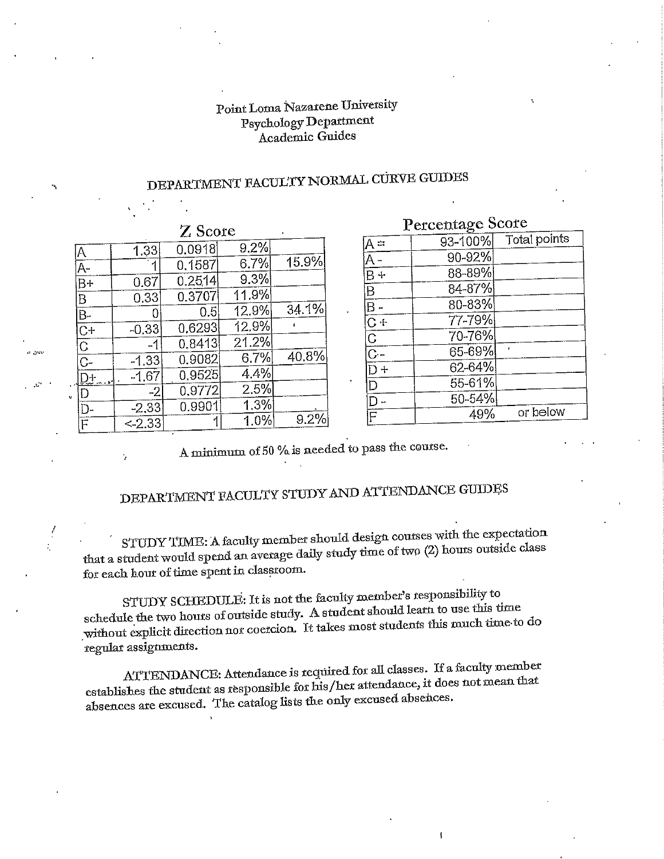# Point Loma Nazarene University Psychology Department Academic Guides

# DEPARTMENT FACULTY NORMAL CURVE GUIDES

| $Z$ Score                           |          |        |         |       |
|-------------------------------------|----------|--------|---------|-------|
|                                     | 1.33     | 0.0918 | 9.2%    |       |
| $\frac{\overline{A}}{\overline{A}}$ |          | 0.1587 | 6.7%    | 15.9% |
| $\overline{B+}$                     | 0.67     | 0.2514 | 9.3%    |       |
| B                                   | 0.33     | 0.3707 | 11.9%   |       |
| $\overline{B}$ .                    | Ω        | 0.5    | 12.9%   | 34.1% |
| $C +$                               | $-0.33$  | 0.6293 | 12.9%   | ç,    |
| $\overline{C}$                      | -1       | 0.8413 | 21.2%   |       |
| $C-$                                | $-1.33$  | 0.9082 | 6.7%    | 40.8% |
| D+                                  | $-1.67$  | 0.9525 | 4.4%    |       |
| D                                   | $-2$     | 0,9772 | 2.5%    |       |
| D-                                  | $-2.33$  | 0.9901 | 1.3%    |       |
| $\overline{\mathbf{r}}$             | - 2.3.33 | ⊣      | $1.0\%$ | 9.2%  |

# Percentage Score

| $A =$                              | 93-100% | Total points |
|------------------------------------|---------|--------------|
| <u>A -</u>                         | 90-92%  |              |
| $\overline{B+}$                    | 88-89%  |              |
| $\overline{B}$                     | 84-87%  |              |
| $\overline{\mathsf{B}}$ .          | 80-83%  |              |
| $\overline{C}$ +                   | 77-79%  |              |
| $rac{C}{C}$                        | 70-76%  |              |
|                                    | 65-69%  |              |
| $\overline{\mathsf{D}^+}$          | 62-64%  |              |
| D                                  | 55-61%  |              |
| D                                  | 50-54%  |              |
| $\overline{\overline{\mathsf{F}}}$ | 49%     | or below     |
|                                    |         |              |

À

A minimum of 50 % is needed to pass the course.

# DEPARTMENT FACULTY STUDY AND ATTENDANCE GUIDES

STUDY TIME: A faculty member should design courses with the expectation that a student would spend an average daily study time of two (2) hours outside class for each hour of time spent in classroom.

STUDY SCHEDULE: It is not the faculty member's responsibility to schedule the two hours of outside study. A student should learn to use this time without explicit direction nor coercion. It takes most students this much time to do regular assignments.

ATTENDANCE: Attendance is required for all classes. If a faculty member establishes the student as responsible for his/her attendance, it does not mean that absences are excused. The catalog lists the only excused absences.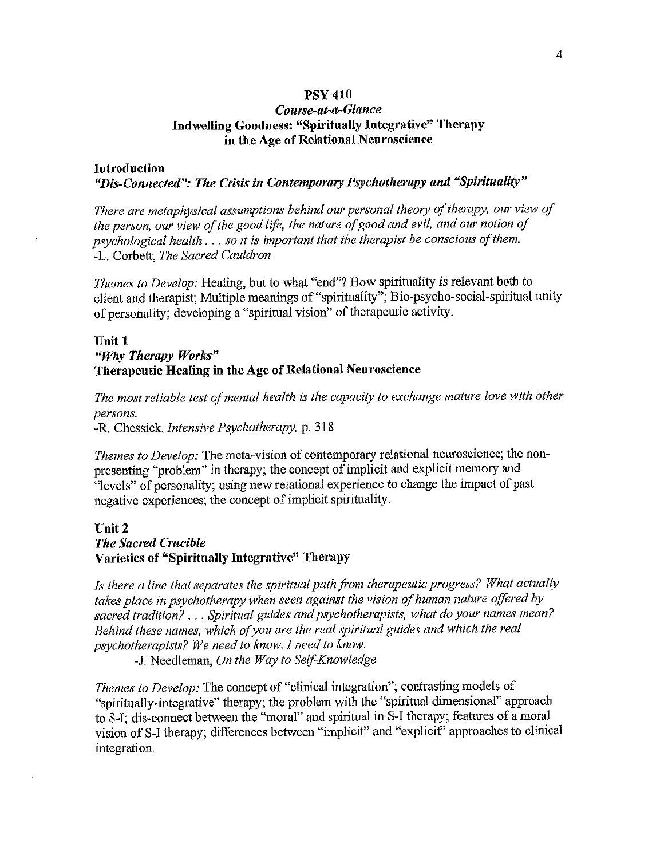### **PSY 410**

# Course-at-a-Glance Indwelling Goodness: "Spiritually Integrative" Therapy in the Age of Relational Neuroscience

### **Introduction** "Dis-Connected": The Crisis in Contemporary Psychotherapy and "Spirituality"

There are metaphysical assumptions behind our personal theory of therapy, our view of the person, our view of the good life, the nature of good and evil, and our notion of psychological health . . . so it is important that the therapist be conscious of them. -L. Corbett, The Sacred Cauldron

*Themes to Develop:* Healing, but to what "end"? How spirituality is relevant both to client and therapist; Multiple meanings of "spirituality"; Bio-psycho-social-spiritual unity of personality; developing a "spiritual vision" of the rapeutic activity.

### Unit 1 "Why Therapy Works" Therapeutic Healing in the Age of Relational Neuroscience

The most reliable test of mental health is the capacity to exchange mature love with other persons.

-R. Chessick, Intensive Psychotherapy, p. 318

Themes to Develop: The meta-vision of contemporary relational neuroscience; the nonpresenting "problem" in therapy; the concept of implicit and explicit memory and "levels" of personality; using new relational experience to change the impact of past negative experiences; the concept of implicit spirituality.

## Unit<sub>2</sub> **The Sacred Crucible** Varieties of "Spiritually Integrative" Therapy

Is there a line that separates the spiritual path from therapeutic progress? What actually takes place in psychotherapy when seen against the vision of human nature offered by sacred tradition? . . . Spiritual guides and psychotherapists, what do your names mean? Behind these names, which of you are the real spiritual guides and which the real psychotherapists? We need to know. I need to know.

-J. Needleman, On the Way to Self-Knowledge

Themes to Develop: The concept of "clinical integration"; contrasting models of "spiritually-integrative" therapy; the problem with the "spiritual dimensional" approach to S-I; dis-connect between the "moral" and spiritual in S-I therapy; features of a moral vision of S-I therapy; differences between "implicit" and "explicit" approaches to clinical integration.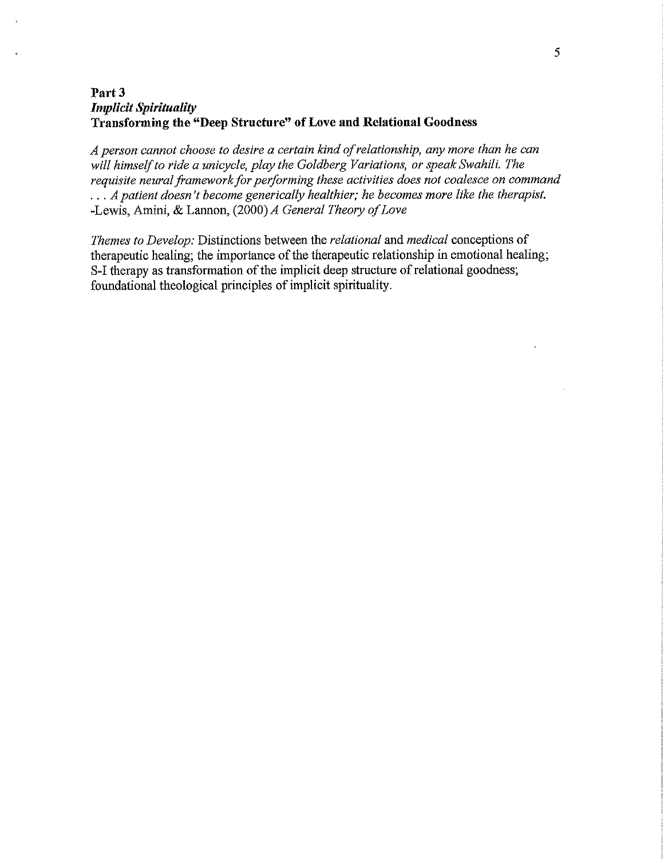# Part 3 **Implicit Spirituality** Transforming the "Deep Structure" of Love and Relational Goodness

A person cannot choose to desire a certain kind of relationship, any more than he can will himself to ride a unicycle, play the Goldberg Variations, or speak Swahili. The requisite neural framework for performing these activities does not coalesce on command ... A patient doesn't become generically healthier; he becomes more like the therapist. -Lewis, Amini, & Lannon, (2000) A General Theory of Love

Themes to Develop: Distinctions between the relational and medical conceptions of therapeutic healing; the importance of the therapeutic relationship in emotional healing; S-I therapy as transformation of the implicit deep structure of relational goodness; foundational theological principles of implicit spirituality.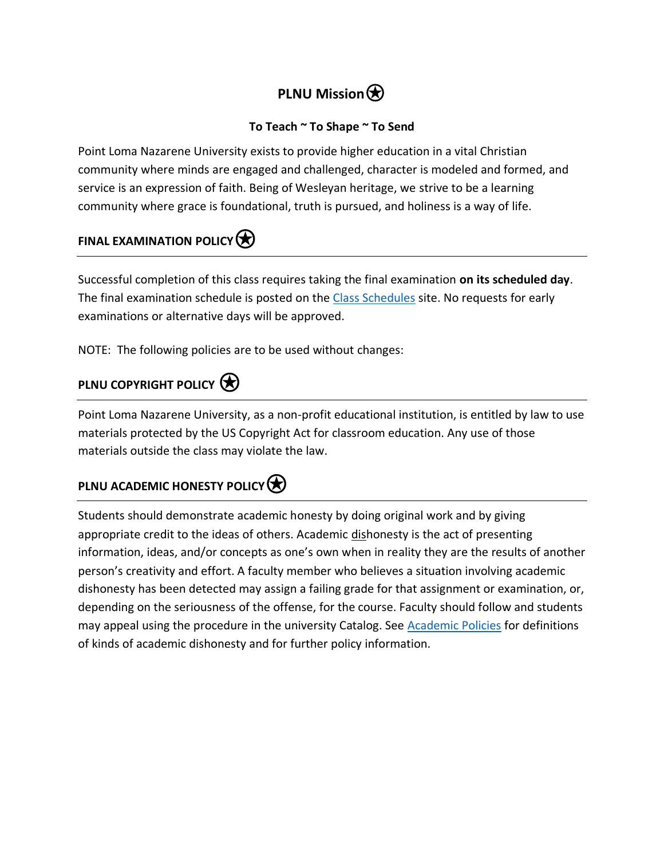# **PLNU Mission** $\bigcirc$

# **To Teach ~ To Shape ~ To Send**

Point Loma Nazarene University exists to provide higher education in a vital Christian community where minds are engaged and challenged, character is modeled and formed, and service is an expression of faith. Being of Wesleyan heritage, we strive to be a learning community where grace is foundational, truth is pursued, and holiness is a way of life.

# **FINAL EXAMINATION POLICY**

Successful completion of this class requires taking the final examination **on its scheduled day**. The final examination schedule is posted on the [Class Schedules](http://www.pointloma.edu/experience/academics/class-schedules) site. No requests for early examinations or alternative days will be approved.

NOTE: The following policies are to be used without changes:

# **PLNU COPYRIGHT POLICY**

Point Loma Nazarene University, as a non-profit educational institution, is entitled by law to use materials protected by the US Copyright Act for classroom education. Any use of those materials outside the class may violate the law.

# **PLNU ACADEMIC HONESTY POLICY**

Students should demonstrate academic honesty by doing original work and by giving appropriate credit to the ideas of others. Academic dishonesty is the act of presenting information, ideas, and/or concepts as one's own when in reality they are the results of another person's creativity and effort. A faculty member who believes a situation involving academic dishonesty has been detected may assign a failing grade for that assignment or examination, or, depending on the seriousness of the offense, for the course. Faculty should follow and students may appeal using the procedure in the university Catalog. See [Academic Policies](http://catalog.pointloma.edu/content.php?catoid=18&navoid=1278) for definitions of kinds of academic dishonesty and for further policy information.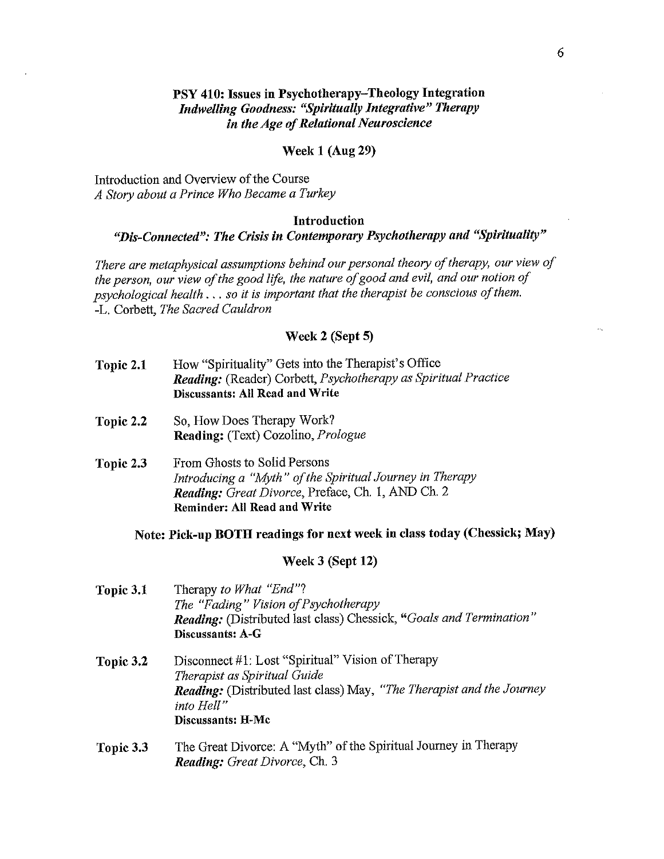# PSY 410: Issues in Psychotherapy-Theology Integration **Indwelling Goodness: "Spiritually Integrative" Therapy** in the Age of Relational Neuroscience

### **Week 1 (Aug 29)**

Introduction and Overview of the Course A Story about a Prince Who Became a Turkey

### Introduction

# "Dis-Connected": The Crisis in Contemporary Psychotherapy and "Spirituality"

There are metaphysical assumptions behind our personal theory of therapy, our view of the person, our view of the good life, the nature of good and evil, and our notion of psychological health  $\ldots$  so it is important that the therapist be conscious of them. -L. Corbett, The Sacred Cauldron

### Week 2 (Sept 5)

- How "Spirituality" Gets into the Therapist's Office Topic 2.1 Reading: (Reader) Corbett, Psychotherapy as Spiritual Practice **Discussants: All Read and Write**
- Topic 2.2 So. How Does Therapy Work? Reading: (Text) Cozolino, Prologue
- From Ghosts to Solid Persons Topic 2.3 Introducing a "Myth" of the Spiritual Journey in Therapy Reading: Great Divorce, Preface, Ch. 1, AND Ch. 2 **Reminder: All Read and Write**

## Note: Pick-up BOTH readings for next week in class today (Chessick; May)

### Week 3 (Sept 12)

| Topic 3.1 | Therapy to What "End"?<br>The "Fading" Vision of Psychotherapy<br>Reading: (Distributed last class) Chessick, "Goals and Termination"<br>Discussants: A-G                                            |  |
|-----------|------------------------------------------------------------------------------------------------------------------------------------------------------------------------------------------------------|--|
| Topic 3.2 | Disconnect #1: Lost "Spiritual" Vision of Therapy<br>Therapist as Spiritual Guide<br><b>Reading:</b> (Distributed last class) May, "The Therapist and the Journey<br>into Hell"<br>Discussants: H-Mc |  |
| Topic 3.3 | The Great Divorce: A "Myth" of the Spiritual Journey in Therapy<br>Reading: Great Divorce, Ch. 3                                                                                                     |  |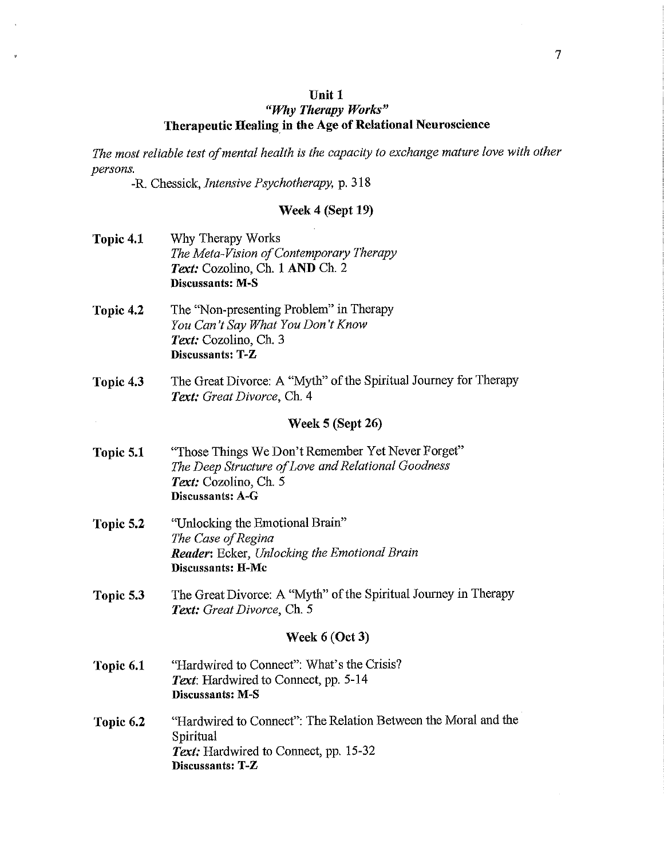#### Unit 1

# "Why Therapy Works" Therapeutic Healing in the Age of Relational Neuroscience

The most reliable test of mental health is the capacity to exchange mature love with other persons.

-R. Chessick, Intensive Psychotherapy, p. 318

#### Week 4 (Sept 19)

- Topic 4.1 Why Therapy Works The Meta-Vision of Contemporary Therapy Text: Cozolino, Ch. 1 AND Ch. 2 **Discussants: M-S**
- The "Non-presenting Problem" in Therapy Topic 4.2 You Can't Say What You Don't Know Text: Cozolino, Ch. 3 Discussants: T-Z
- The Great Divorce: A "Myth" of the Spiritual Journey for Therapy Topic 4.3 Text: Great Divorce, Ch. 4

### Week 5 (Sept 26)

- "Those Things We Don't Remember Yet Never Forget" Topic 5.1 The Deep Structure of Love and Relational Goodness Text: Cozolino, Ch. 5 Discussants: A-G
- "Unlocking the Emotional Brain" Topic 5.2 The Case of Regina **Reader:** Ecker, Unlocking the Emotional Brain **Discussants: H-Mc**
- Topic 5.3 The Great Divorce: A "Myth" of the Spiritual Journey in Therapy Text: Great Divorce, Ch. 5

#### Week  $6$  (Oct 3)

- "Hardwired to Connect": What's the Crisis? Topic 6.1 Text: Hardwired to Connect, pp. 5-14 Discussants: M-S
- "Hardwired to Connect": The Relation Between the Moral and the Topic 6.2 Spiritual Text: Hardwired to Connect, pp. 15-32 Discussants: T-Z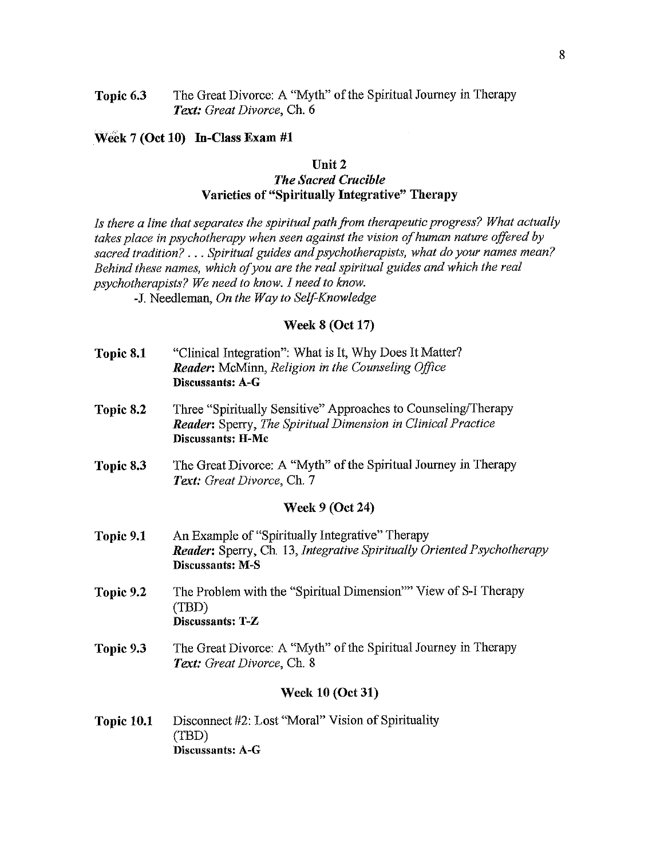Topic 6.3 The Great Divorce: A "Myth" of the Spiritual Journey in Therapy Text: Great Divorce, Ch. 6

### Week 7 (Oct 10) In-Class Exam #1

### Unit 2 **The Sacred Crucible** Varieties of "Spiritually Integrative" Therapy

Is there a line that separates the spiritual path from therapeutic progress? What actually takes place in psychotherapy when seen against the vision of human nature offered by sacred tradition? . . . Spiritual guides and psychotherapists, what do your names mean? Behind these names, which of you are the real spiritual guides and which the real psychotherapists? We need to know. I need to know.

-J. Needleman, On the Way to Self-Knowledge

### **Week 8 (Oct 17)**

- "Clinical Integration": What is It, Why Does It Matter? Topic 8.1 Reader: McMinn, Religion in the Counseling Office Discussants: A-G
- Three "Spiritually Sensitive" Approaches to Counseling/Therapy Topic 8.2 **Reader:** Sperry, The Spiritual Dimension in Clinical Practice Discussants: H-Mc
- The Great Divorce: A "Myth" of the Spiritual Journey in Therapy Topic 8.3 Text: Great Divorce, Ch. 7

### **Week 9 (Oct 24)**

- An Example of "Spiritually Integrative" Therapy Topic 9.1 **Reader:** Sperry, Ch. 13, Integrative Spiritually Oriented Psychotherapy **Discussants: M-S**
- The Problem with the "Spiritual Dimension"" View of S-I Therapy Topic 9.2 (TBD) Discussants: T-Z
- The Great Divorce: A "Myth" of the Spiritual Journey in Therapy Topic 9.3 Text: Great Divorce, Ch. 8

### **Week 10 (Oct 31)**

Topic 10.1 Disconnect #2: Lost "Moral" Vision of Spirituality  $(TBD)$ **Discussants: A-G**